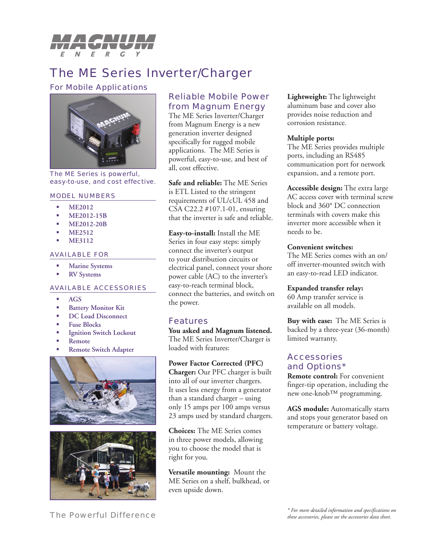

# The ME Series Inverter/Charger

### For Mobile Applications



#### The ME Series is powerful, easy-to-use, and cost effective.

#### MODEL NUMBERS

- **ME2012** ı
- **ME2012-15B** L.
- **ME2012-20B** ı
- **ME2512** ı
- **ME3112** Ì.

#### AVAILABLE FOR

- **Marine Systems** ı
- **RV Systems** ı

## AVAILABLE ACCESSORIES

- **AGS** a.
- **Battery Monitor Kit** ×.
- **DC Load Disconnect** i.
- **Fuse Blocks** i.
- **Ignition Switch Lockout** i.
- **Remote** i.
- **Remote Switch Adapter** i.





# Reliable Mobile Power from Magnum Energy

The ME Series Inverter/Charger from Magnum Energy is a new generation inverter designed specifically for rugged mobile applications. The ME Series is powerful, easy-to-use, and best of all, cost effective.

**Safe and reliable:** The ME Series is ETL Listed to the stringent requirements of UL/cUL 458 and CSA C22.2 #107.1-01, ensuring that the inverter is safe and reliable.

**Easy-to-install:** Install the ME Series in four easy steps: simply connect the inverter's output to your distribution circuits or electrical panel, connect your shore power cable (AC) to the inverter's easy-to-reach terminal block, connect the batteries, and switch on the power.

# Features

**You asked and Magnum listened.**  The ME Series Inverter/Charger is loaded with features:

**Power Factor Corrected (PFC) Charger:** Our PFC charger is built into all of our inverter chargers. It uses less energy from a generator than a standard charger – using only 15 amps per 100 amps versus 23 amps used by standard chargers.

**Choices:** The ME Series comes in three power models, allowing you to choose the model that is right for you.

**Versatile mounting:** Mount the ME Series on a shelf, bulkhead, or even upside down.

**Lightweight:** The lightweight aluminum base and cover also provides noise reduction and corrosion resistance.

### **Multiple ports:**

The ME Series provides multiple ports, including an RS485 communication port for network expansion, and a remote port.

**Accessible design:** The extra large AC access cover with terminal screw block and 360° DC connection terminals with covers make this inverter more accessible when it needs to be.

## **Convenient switches:**

The ME Series comes with an on/ off inverter-mounted switch with an easy-to-read LED indicator.

**Expanded transfer relay:**

60 Amp transfer service is available on all models.

**Buy with ease:** The ME Series is backed by a three-year (36-month) limited warranty.

# **Accessories** and Options\*

**Remote control:** For convenient finger-tip operation, including the new one-knob™ programming.

**AGS module:** Automatically starts and stops your generator based on temperature or battery voltage.